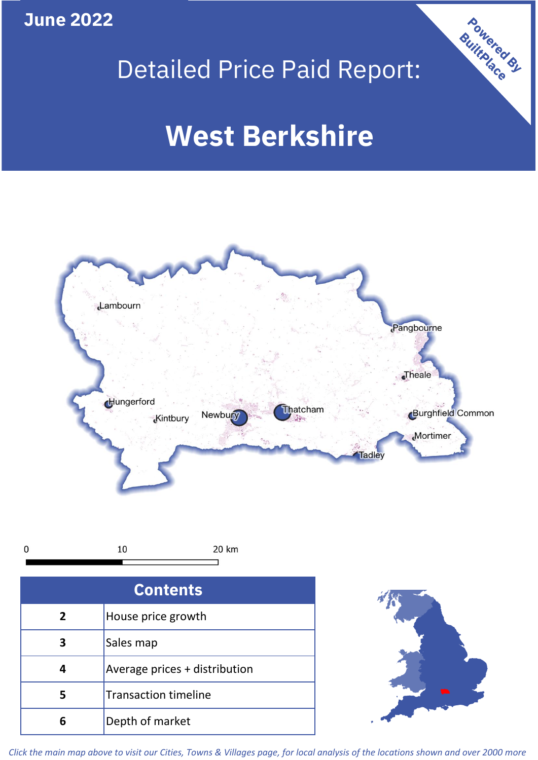**June 2022**







| <b>Contents</b> |                               |  |  |
|-----------------|-------------------------------|--|--|
| $\overline{2}$  | House price growth            |  |  |
|                 | Sales map                     |  |  |
| 4               | Average prices + distribution |  |  |
| 5               | <b>Transaction timeline</b>   |  |  |
| 6               | Depth of market               |  |  |



*Click the main map above to visit our Cities, Towns & Villages page, for local analysis of the locations shown and over 2000 more*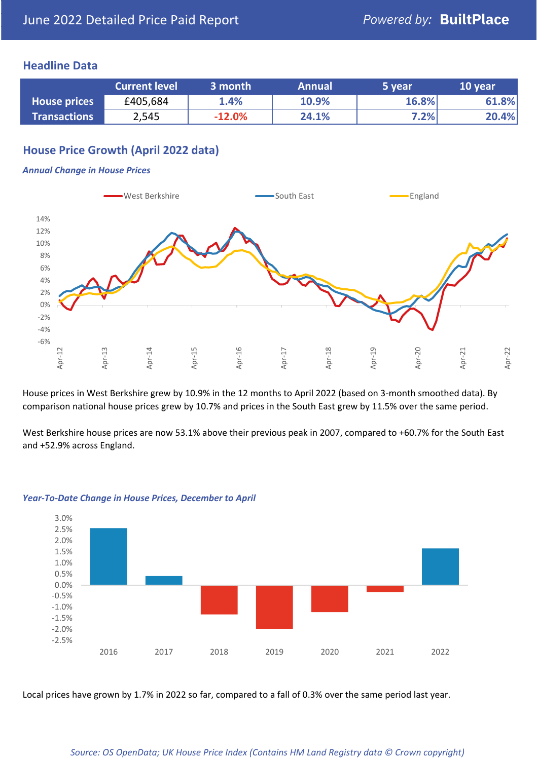## **Headline Data**

|                     | <b>Current level</b> | 3 month  | <b>Annual</b> | 5 year | 10 year |
|---------------------|----------------------|----------|---------------|--------|---------|
| <b>House prices</b> | £405,684             | 1.4%     | 10.9%         | 16.8%  | 61.8%   |
| <b>Transactions</b> | 2,545                | $-12.0%$ | 24.1%         | 7.2%   | 20.4%   |

## **House Price Growth (April 2022 data)**

#### *Annual Change in House Prices*



House prices in West Berkshire grew by 10.9% in the 12 months to April 2022 (based on 3-month smoothed data). By comparison national house prices grew by 10.7% and prices in the South East grew by 11.5% over the same period.

West Berkshire house prices are now 53.1% above their previous peak in 2007, compared to +60.7% for the South East and +52.9% across England.



#### *Year-To-Date Change in House Prices, December to April*

Local prices have grown by 1.7% in 2022 so far, compared to a fall of 0.3% over the same period last year.

#### *Source: OS OpenData; UK House Price Index (Contains HM Land Registry data © Crown copyright)*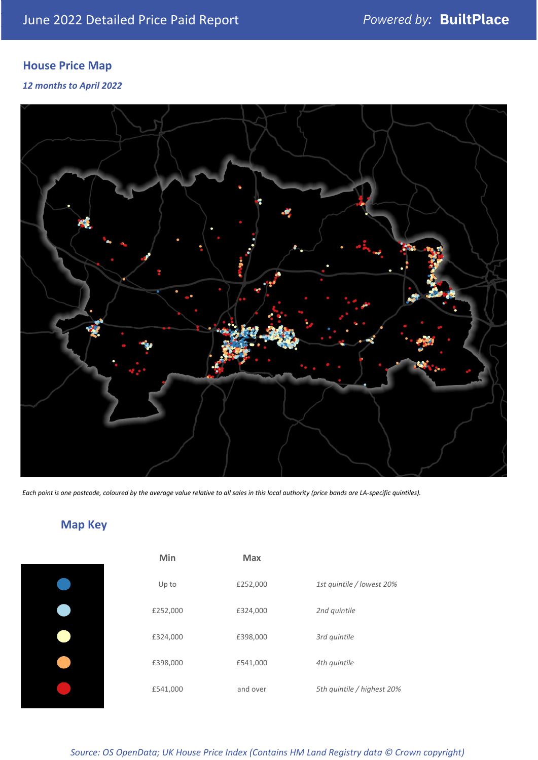# **House Price Map**

## *12 months to April 2022*



*Each point is one postcode, coloured by the average value relative to all sales in this local authority (price bands are LA-specific quintiles).*

# **Map Key**

| Min      | <b>Max</b> |                            |
|----------|------------|----------------------------|
| Up to    | £252,000   | 1st quintile / lowest 20%  |
| £252,000 | £324,000   | 2nd quintile               |
| £324,000 | £398,000   | 3rd quintile               |
| £398,000 | £541,000   | 4th quintile               |
| £541,000 | and over   | 5th quintile / highest 20% |

*Source: OS OpenData; UK House Price Index (Contains HM Land Registry data © Crown copyright)*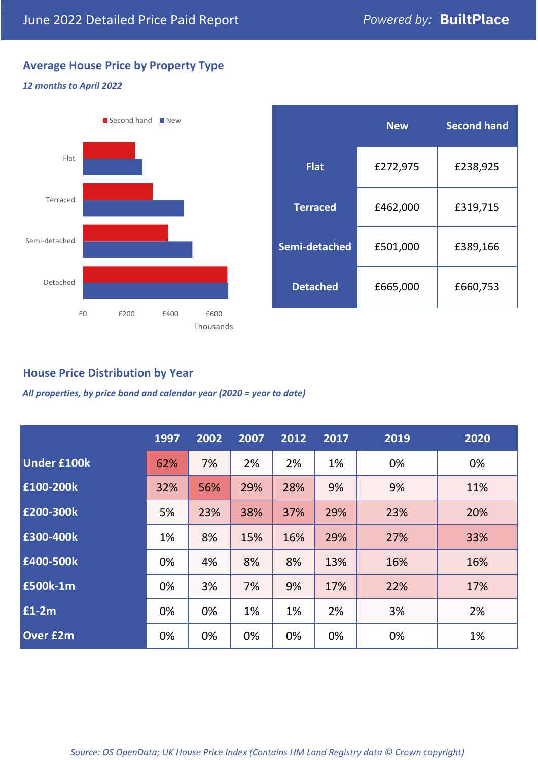# **Average House Price by Property Type**

## *12 months to April 2022*



|                 | <b>New</b> | <b>Second hand</b> |  |  |
|-----------------|------------|--------------------|--|--|
| <b>Flat</b>     | £272,975   | £238,925           |  |  |
| <b>Terraced</b> | £462,000   | £319,715           |  |  |
| Semi-detached   | £501,000   | £389,166           |  |  |
| <b>Detached</b> | £665,000   | £660,753           |  |  |

## **House Price Distribution by Year**

*All properties, by price band and calendar year (2020 = year to date)*

|                    | 1997 | 2002 | 2007 | 2012 | 2017 | 2019 | 2020 |
|--------------------|------|------|------|------|------|------|------|
| <b>Under £100k</b> | 62%  | 7%   | 2%   | 2%   | 1%   | 0%   | 0%   |
| £100-200k          | 32%  | 56%  | 29%  | 28%  | 9%   | 9%   | 11%  |
| E200-300k          | 5%   | 23%  | 38%  | 37%  | 29%  | 23%  | 20%  |
| £300-400k          | 1%   | 8%   | 15%  | 16%  | 29%  | 27%  | 33%  |
| £400-500k          | 0%   | 4%   | 8%   | 8%   | 13%  | 16%  | 16%  |
| £500k-1m           | 0%   | 3%   | 7%   | 9%   | 17%  | 22%  | 17%  |
| £1-2m              | 0%   | 0%   | 1%   | 1%   | 2%   | 3%   | 2%   |
| <b>Over £2m</b>    | 0%   | 0%   | 0%   | 0%   | 0%   | 0%   | 1%   |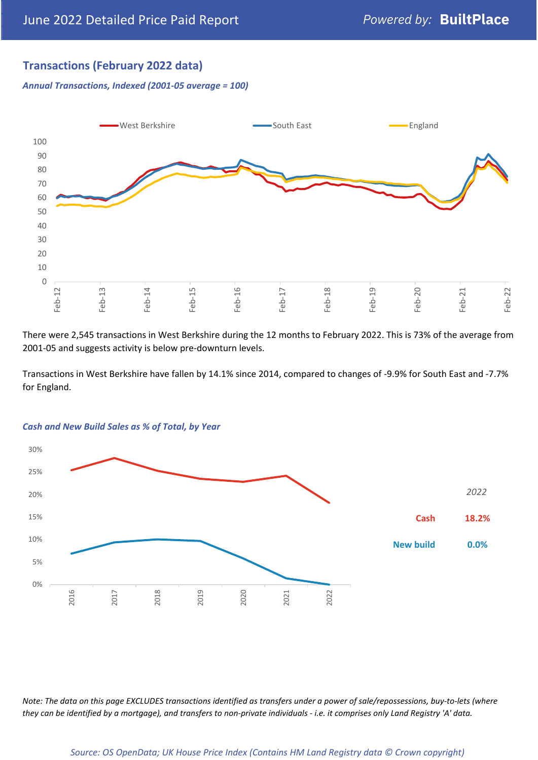## **Transactions (February 2022 data)**

*Annual Transactions, Indexed (2001-05 average = 100)*



There were 2,545 transactions in West Berkshire during the 12 months to February 2022. This is 73% of the average from 2001-05 and suggests activity is below pre-downturn levels.

Transactions in West Berkshire have fallen by 14.1% since 2014, compared to changes of -9.9% for South East and -7.7% for England.



#### *Cash and New Build Sales as % of Total, by Year*

*Note: The data on this page EXCLUDES transactions identified as transfers under a power of sale/repossessions, buy-to-lets (where they can be identified by a mortgage), and transfers to non-private individuals - i.e. it comprises only Land Registry 'A' data.*